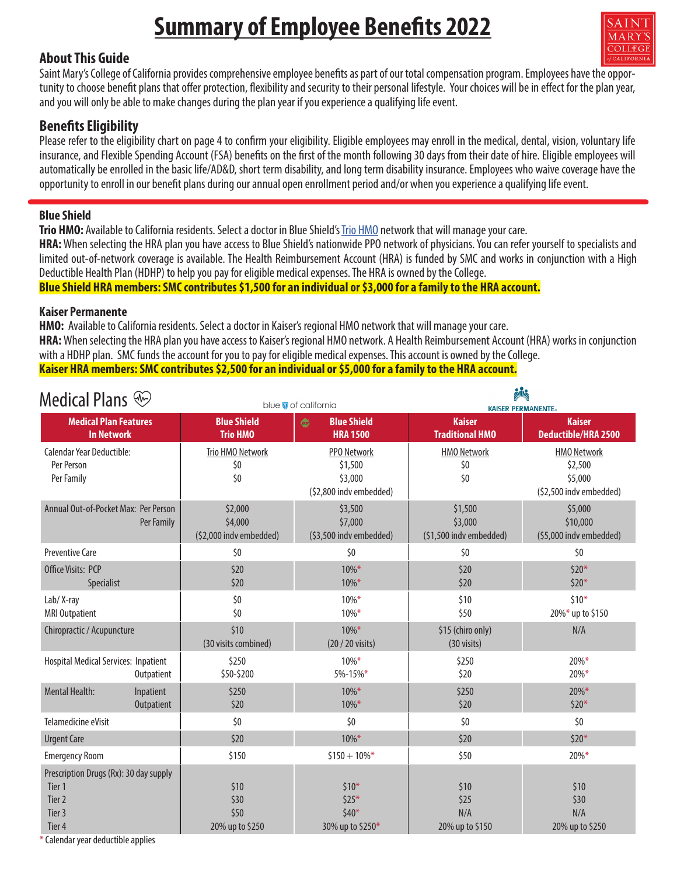# **Summary of Employee Benefits 2022**

#### **About This Guide**

 $\overline{COTIFG}$ 

Saint Mary's College of California provides comprehensive employee benefits as part of our total compensation program. Employees have the opportunity to choose benefit plans that offer protection, flexibility and security to their personal lifestyle. Your choices will be in effect for the plan year, and you will only be able to make changes during the plan year if you experience a qualifying life event.

### **Benefits Eligibility**

Please refer to the eligibility chart on page 4 to confirm your eligibility. Eligible employees may enroll in the medical, dental, vision, voluntary life insurance, and Flexible Spending Account (FSA) benefits on the first of the month following 30 days from their date of hire. Eligible employees will automatically be enrolled in the basic life/AD&D, short term disability, and long term disability insurance. Employees who waive coverage have the opportunity to enroll in our benefit plans during our annual open enrollment period and/or when you experience a qualifying life event.

#### **Blue Shield**

**Trio HMO:** Available to California residents. Select a doctor in Blue Shield's [Trio HMO](https://www.blueshieldca.com/bsca/bsc/public/member/mp/contentpages/!ut/p/z1/nZFLc4IwEMe_Sj14ZHYhFMIxWl9MrTM-quTCBAqSjiSIGW2_faN93KrT7ml39vn7L3DYAFfiKLfCSK3EzsYJD1KPTugY0Y1n6CEyiv34KYooDUN4Bg68yeULJKEvAvQi4hCXlI5PotLJCM0ctyzuXd8NUfj-uTpXpjEVJHVRZ0Wb5lqZQpm0UF388u9arU0XD5Vu0mYn1KGLppU6rWoN61sXcZvGX4whxLcKLLLXTvvTreUSpnKkKjVsGp3b1fzS_LN8tOwTZKMBI0O6IvQT7_r0xJ4fpjHFYNKb4SMuaIjsYTDvsaHn4ciF9VEWJ1gp3dZW_8Uf5R1_A14RyALK1_2eM_uKs95vBjb_-0VT15S8OzwL5vS0LKvdttP5ALRYaMw!/dz/d5/L2dBISEvZ0FBIS9nQSEh/) network that will manage your care. **HRA:** When selecting the HRA plan you have access to Blue Shield's nationwide PPO network of physicians. You can refer yourself to specialists and limited out-of-network coverage is available. The Health Reimbursement Account (HRA) is funded by SMC and works in conjunction with a High Deductible Health Plan (HDHP) to help you pay for eligible medical expenses. The HRA is owned by the College. **Blue Shield HRA members: SMC contributes \$1,500 for an individual or \$3,000 for a family to the HRA account.**

#### **Kaiser Permanente**

**HMO:** Available to California residents. Select a doctor in Kaiser's regional HMO network that will manage your care. **HRA:** When selecting the HRA plan you have access to Kaiser's regional HMO network. A Health Reimbursement Account (HRA) works in conjunction with a HDHP plan. SMC funds the account for you to pay for eligible medical expenses. This account is owned by the College. **Kaiser HRA members: SMC contributes \$2,500 for an individual or \$5,000 for a family to the HRA account.**

| Medical Plans $\circledast$                                                               |                                               | blue of california                                                  | <b>Allic</b><br><b>KAISER PERMANENTE.</b>     |                                                                     |  |  |
|-------------------------------------------------------------------------------------------|-----------------------------------------------|---------------------------------------------------------------------|-----------------------------------------------|---------------------------------------------------------------------|--|--|
| <b>Medical Plan Features</b>                                                              | <b>Blue Shield</b><br><b>Blue Shield</b><br>  |                                                                     | <b>Kaiser</b>                                 | <b>Kaiser</b>                                                       |  |  |
| <b>In Network</b>                                                                         | <b>Trio HMO</b>                               | <b>HRA 1500</b>                                                     | <b>Traditional HMO</b>                        | <b>Deductible/HRA 2500</b>                                          |  |  |
| <b>Calendar Year Deductible:</b><br>Per Person<br>Per Family                              | Trio HMO Network<br>\$0<br>\$0                | <b>PPO Network</b><br>\$1,500<br>\$3,000<br>(\$2,800 indv embedded) | <b>HMO Network</b><br>\$0<br>\$0              | <b>HMO Network</b><br>\$2,500<br>\$5,000<br>(\$2,500 indv embedded) |  |  |
| Annual Out-of-Pocket Max: Per Person<br>Per Family                                        | \$2,000<br>\$4,000<br>(\$2,000 indv embedded) | \$3,500<br>\$7,000<br>(\$3,500 indv embedded)                       | \$1,500<br>\$3,000<br>(\$1,500 indv embedded) | \$5,000<br>\$10,000<br>(\$5,000 indv embedded)                      |  |  |
| <b>Preventive Care</b>                                                                    | \$0                                           | \$0                                                                 | \$0                                           | \$0                                                                 |  |  |
| Office Visits: PCP<br>Specialist                                                          | \$20<br>\$20                                  | $10\%*$<br>$10\%*$                                                  | \$20<br>\$20                                  | $$20*$<br>$$20*$                                                    |  |  |
| Lab/X-ray<br><b>MRI Outpatient</b>                                                        | \$0<br>\$0                                    | $10\%*$<br>\$10<br>\$50<br>$10\%*$                                  |                                               | $$10*$<br>20%* up to \$150                                          |  |  |
| Chiropractic / Acupuncture                                                                | \$10<br>(30 visits combined)                  | $10\%*$<br>(20 / 20 visits)                                         | \$15 (chiro only)<br>(30 visits)              | N/A                                                                 |  |  |
| <b>Hospital Medical Services: Inpatient</b><br>Outpatient                                 | \$250<br>\$50-\$200                           | $10\%*$<br>$5% - 15%$ *                                             | \$250<br>\$20                                 | $20\%*$<br>$20\%*$                                                  |  |  |
| <b>Mental Health:</b><br>Inpatient<br>Outpatient                                          | \$250<br>\$20                                 | $10\%*$<br>$10\%*$                                                  | \$250<br>\$20                                 | $20\%*$<br>$$20*$                                                   |  |  |
| Telamedicine eVisit                                                                       | \$0                                           | \$0                                                                 | \$0                                           | \$0                                                                 |  |  |
| <b>Urgent Care</b>                                                                        | \$20                                          | $10\%*$<br>\$20                                                     |                                               | $$20*$                                                              |  |  |
| <b>Emergency Room</b>                                                                     | \$150                                         | $$150 + 10\%$ *                                                     | \$50                                          | $20\%*$                                                             |  |  |
| Prescription Drugs (Rx): 30 day supply<br>Tier 1<br>Tier <sub>2</sub><br>Tier 3<br>Tier 4 | \$10<br>\$30<br>\$50<br>20% up to \$250       | $$10*$<br>$$25*$<br>$$40*$<br>30% up to \$250*                      | \$10<br>\$25<br>N/A<br>20% up to \$150        | \$10<br>\$30<br>N/A<br>20% up to \$250                              |  |  |

\* Calendar year deductible applies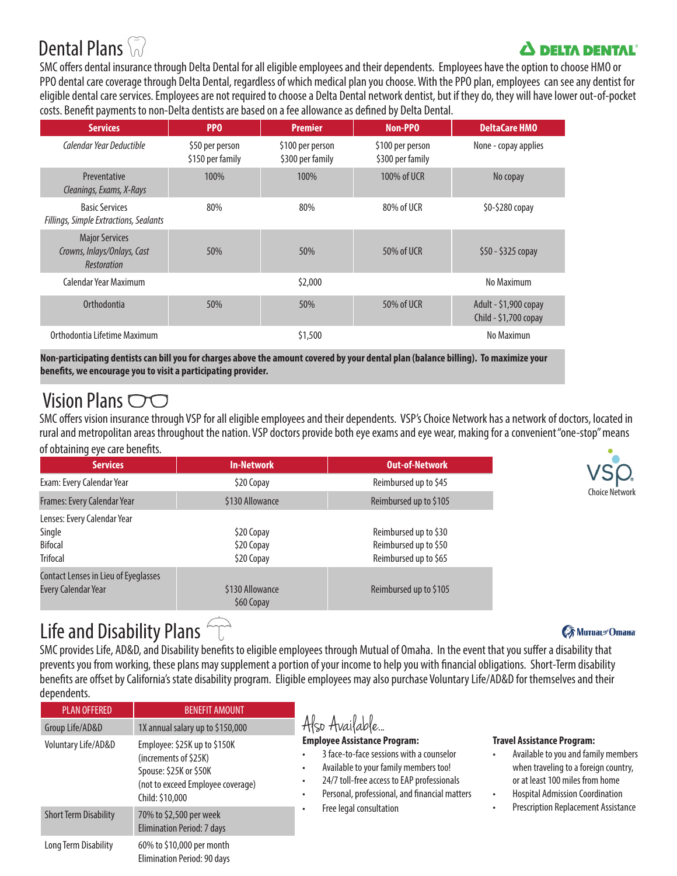# Dental Plans

### **A DELTA DENTAL**

SMC offers dental insurance through Delta Dental for all eligible employees and their dependents. Employees have the option to choose HMO or PPO dental care coverage through Delta Dental, regardless of which medical plan you choose. With the PPO plan, employees can see any dentist for eligible dental care services. Employees are not required to choose a Delta Dental network dentist, but if they do, they will have lower out-of-pocket costs. Benefit payments to non-Delta dentists are based on a fee allowance as defined by Delta Dental.

| <b>Services</b>                                                            | PP <sub>0</sub>                     | <b>Premier</b>                                                               | <b>Non-PPO</b> | <b>DeltaCare HMO</b>                           |  |
|----------------------------------------------------------------------------|-------------------------------------|------------------------------------------------------------------------------|----------------|------------------------------------------------|--|
| Calendar Year Deductible                                                   | \$50 per person<br>\$150 per family | \$100 per person<br>\$100 per person<br>\$300 per family<br>\$300 per family |                | None - copay applies                           |  |
| Preventative<br>Cleanings, Exams, X-Rays                                   | 100%                                | 100%                                                                         | 100% of UCR    | No copay                                       |  |
| <b>Basic Services</b><br>Fillings, Simple Extractions, Sealants            | 80%                                 | 80%                                                                          | 80% of UCR     | \$0-\$280 copay                                |  |
| <b>Major Services</b><br>Crowns, Inlays/Onlays, Cast<br><b>Restoration</b> | 50%                                 | 50%                                                                          | 50% of UCR     | $$50 - $325$ copay                             |  |
| Calendar Year Maximum                                                      |                                     | \$2,000                                                                      |                | No Maximum                                     |  |
| <b>Orthodontia</b>                                                         | 50%                                 | 50%                                                                          | 50% of UCR     | Adult - \$1,900 copay<br>Child - \$1,700 copay |  |
| Orthodontia Lifetime Maximum                                               |                                     | \$1,500                                                                      |                | No Maximun                                     |  |

**Non-participating dentists can bill you for charges above the amount covered by your dental plan (balance billing). To maximize your benefits, we encourage you to visit a participating provider.** 

### Vision Plans  $\bigcirc$

SMC offers vision insurance through VSP for all eligible employees and their dependents. VSP's Choice Network has a network of doctors, located in rural and metropolitan areas throughout the nation. VSP doctors provide both eye exams and eye wear, making for a convenient "one-stop" means of obtaining eye care benefits.

| <b>Services</b>                                                            | <b>In-Network</b>                      | <b>Out-of-Network</b>                                                   |
|----------------------------------------------------------------------------|----------------------------------------|-------------------------------------------------------------------------|
| Exam: Every Calendar Year                                                  | \$20 Copay                             | Reimbursed up to \$45                                                   |
| Frames: Every Calendar Year                                                | \$130 Allowance                        | Reimbursed up to \$105                                                  |
| Lenses: Every Calendar Year<br>Single<br><b>Bifocal</b><br><b>Trifocal</b> | \$20 Copay<br>\$20 Copay<br>\$20 Copay | Reimbursed up to \$30<br>Reimbursed up to \$50<br>Reimbursed up to \$65 |
| Contact Lenses in Lieu of Eyeglasses<br><b>Every Calendar Year</b>         | \$130 Allowance<br>\$60 Copay          | Reimbursed up to \$105                                                  |



### Life and Disability Plans  $\widehat{\ }$

SMC provides Life, AD&D, and Disability benefits to eligible employees through Mutual of Omaha. In the event that you suffer a disability that prevents you from working, these plans may supplement a portion of your income to help you with financial obligations. Short-Term disability benefits are offset by California's state disability program. Eligible employees may also purchase Voluntary Life/AD&D for themselves and their dependents.

| <b>PLAN OFFERED</b>          | <b>BENEFIT AMOUNT</b>                                                                                                                   |                                                                                                                                                                                                                         |                                                                                                                                                                                               |
|------------------------------|-----------------------------------------------------------------------------------------------------------------------------------------|-------------------------------------------------------------------------------------------------------------------------------------------------------------------------------------------------------------------------|-----------------------------------------------------------------------------------------------------------------------------------------------------------------------------------------------|
| Group Life/AD&D              | 1X annual salary up to \$150,000                                                                                                        | Also Available                                                                                                                                                                                                          |                                                                                                                                                                                               |
| Voluntary Life/AD&D          | Employee: \$25K up to \$150K<br>(increments of \$25K)<br>Spouse: \$25K or \$50K<br>(not to exceed Employee coverage)<br>Child: \$10,000 | <b>Employee Assistance Program:</b><br>3 face-to-face sessions with a counselor<br>Available to your family members too!<br>24/7 toll-free access to EAP professionals<br>Personal, professional, and financial matters | <b>Travel Assistance Program:</b><br>Available to you and family members<br>when traveling to a foreign country,<br>or at least 100 miles from home<br><b>Hospital Admission Coordination</b> |
| <b>Short Term Disability</b> | 70% to \$2,500 per week<br>Elimination Period: 7 days                                                                                   | Free legal consultation                                                                                                                                                                                                 | <b>Prescription Replacement Assistance</b>                                                                                                                                                    |
| Long Term Disability         | 60% to \$10,000 per month<br>Flimination Period: 90 days                                                                                |                                                                                                                                                                                                                         |                                                                                                                                                                                               |

#### **€ Murual** Omana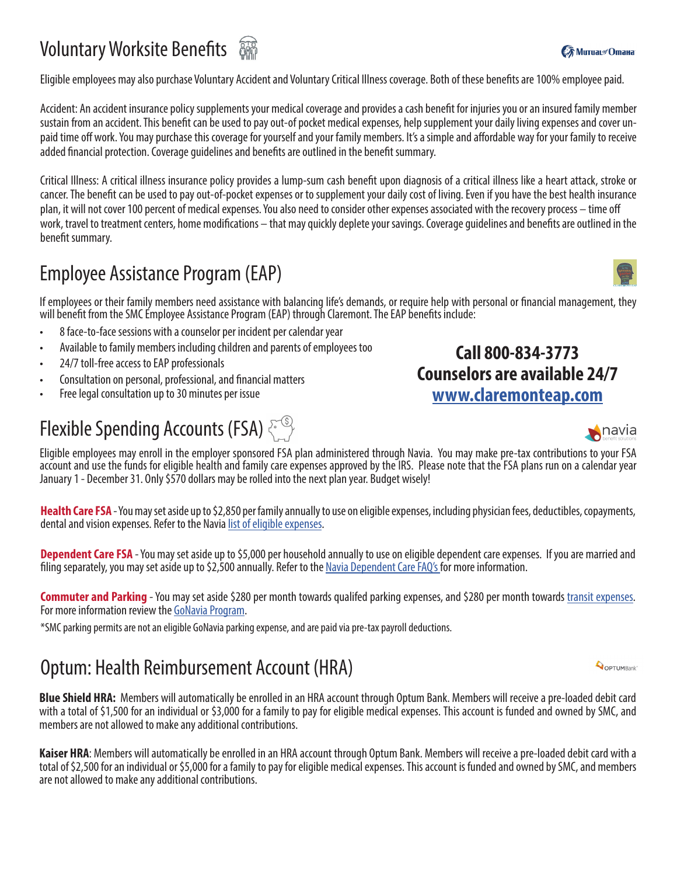# **Voluntary Worksite Benefits**  $\frac{256}{250}$

Eligible employees may also purchase Voluntary Accident and Voluntary Critical Illness coverage. Both of these benefits are 100% employee paid.

Accident: An accident insurance policy supplements your medical coverage and provides a cash benefit for injuries you or an insured family member sustain from an accident. This benefit can be used to pay out-of pocket medical expenses, help supplement your daily living expenses and cover unpaid time off work. You may purchase this coverage for yourself and your family members. It's a simple and affordable way for your family to receive added financial protection. Coverage guidelines and benefits are outlined in the benefit summary.

Critical Illness: A critical illness insurance policy provides a lump-sum cash benefit upon diagnosis of a critical illness like a heart attack, stroke or cancer. The benefit can be used to pay out-of-pocket expenses or to supplement your daily cost of living. Even if you have the best health insurance plan, it will not cover 100 percent of medical expenses. You also need to consider other expenses associated with the recovery process – time off work, travel to treatment centers, home modifications – that may quickly deplete your savings. Coverage guidelines and benefits are outlined in the benefit summary.

### Employee Assistance Program (EAP)

If employees or their family members need assistance with balancing life's demands, or require help with personal or financial management, they will benefit from the SMC Employee Assistance Program (EAP) through Claremont. The EAP benefits include:

- 8 face-to-face sessions with a counselor per incident per calendar year
- Available to family members including children and parents of employees too
- 24/7 toll-free access to EAP professionals
- Consultation on personal, professional, and financial matters
- Free legal consultation up to 30 minutes per issue

# Flexible Spending Accounts (FSA)

Eligible employees may enroll in the employer sponsored FSA plan administered through Navia. You may make pre-tax contributions to your FSA account and use the funds for eligible health and family care expenses approved by the IRS. Please note that the FSA plans run on a calendar year January 1 - December 31. Only \$570 dollars may be rolled into the next plan year. Budget wisely!

**Health Care FSA** - You may set aside up to \$2,850 per family annually to use on eligible expenses, including physician fees, deductibles, copayments, dental and vision expenses. Refer to the Navia [list of eligible expenses](https://www.naviabenefits.com/participants/resources/expenses/?benefit=health-care-fsa).

**Dependent Care FSA** - You may set aside up to \$5,000 per household annually to use on eligible dependent care expenses. If you are married and filing separately, you may set aside up to \$2,500 annually. Refer to the [Navia Dependent Care FAQ's](https://www.naviabenefits.com/participants/benefits/day-care-fsa/) for more information.

**Commuter and Parking** - You [may set aside \\$28](https://www.naviabenefits.com/participants/benefits/gonavia-commuter-benefits/)0 per month towards qualifed parking expenses, and \$280 per month towards <u>transit expenses</u>.<br>For more information review the [GoNavia Program](https://www.naviabenefits.com/participants/benefits/gonavia-commuter-benefits/).

\*SMC parking permits are not an eligible GoNavia parking expense, and are paid via pre-tax payroll deductions.

### Optum: Health Reimbursement Account (HRA)

**Blue Shield HRA:** Members will automatically be enrolled in an HRA account through Optum Bank. Members will receive a pre-loaded debit card with a total of \$1,500 for an individual or \$3,000 for a family to pay for eligible medical expenses. This account is funded and owned by SMC, and members are not allowed to make any additional contributions.

**Kaiser HRA**: Members will automatically be enrolled in an HRA account through Optum Bank. Members will receive a pre-loaded debit card with a total of \$2,500 for an individual or \$5,000 for a family to pay for eligible medical expenses. This account is funded and owned by SMC, and members are not allowed to make any additional contributions.



**Call 800-834-3773**



**OPTUMBank**